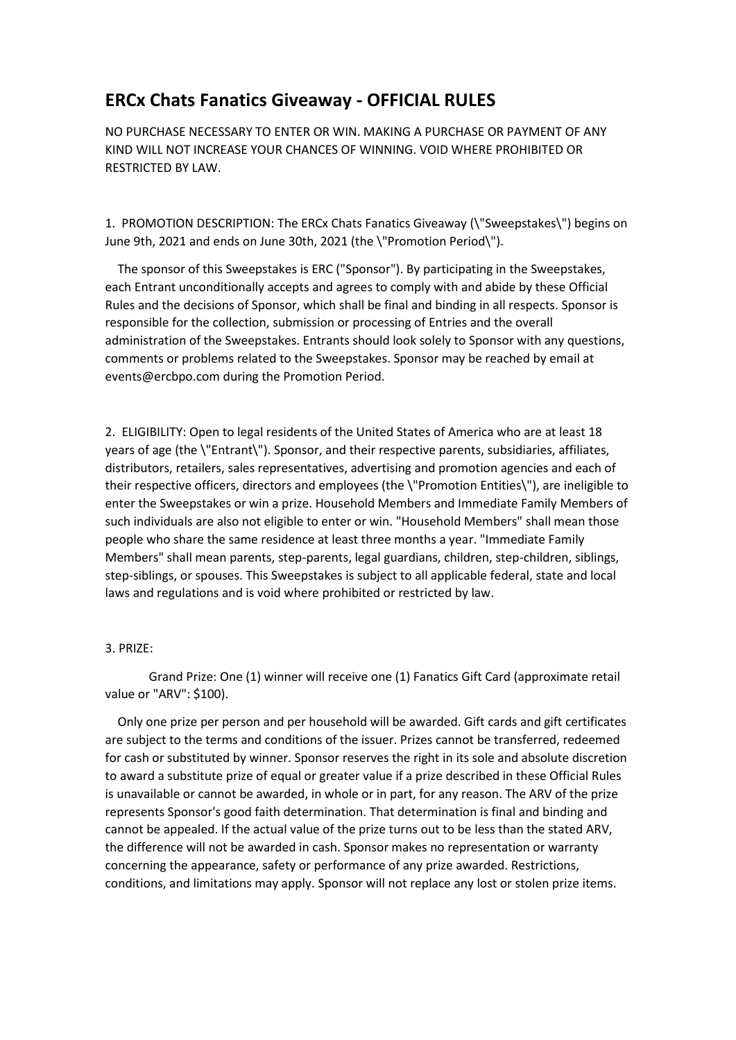## **ERCx Chats Fanatics Giveaway - OFFICIAL RULES**

NO PURCHASE NECESSARY TO ENTER OR WIN. MAKING A PURCHASE OR PAYMENT OF ANY KIND WILL NOT INCREASE YOUR CHANCES OF WINNING. VOID WHERE PROHIBITED OR RESTRICTED BY LAW.

1. PROMOTION DESCRIPTION: The ERCx Chats Fanatics Giveaway (\"Sweepstakes\") begins on June 9th, 2021 and ends on June 30th, 2021 (the \"Promotion Period\").

 The sponsor of this Sweepstakes is ERC ("Sponsor"). By participating in the Sweepstakes, each Entrant unconditionally accepts and agrees to comply with and abide by these Official Rules and the decisions of Sponsor, which shall be final and binding in all respects. Sponsor is responsible for the collection, submission or processing of Entries and the overall administration of the Sweepstakes. Entrants should look solely to Sponsor with any questions, comments or problems related to the Sweepstakes. Sponsor may be reached by email at events@ercbpo.com during the Promotion Period.

2. ELIGIBILITY: Open to legal residents of the United States of America who are at least 18 years of age (the \"Entrant\"). Sponsor, and their respective parents, subsidiaries, affiliates, distributors, retailers, sales representatives, advertising and promotion agencies and each of their respective officers, directors and employees (the \"Promotion Entities\"), are ineligible to enter the Sweepstakes or win a prize. Household Members and Immediate Family Members of such individuals are also not eligible to enter or win. "Household Members" shall mean those people who share the same residence at least three months a year. "Immediate Family Members" shall mean parents, step-parents, legal guardians, children, step-children, siblings, step-siblings, or spouses. This Sweepstakes is subject to all applicable federal, state and local laws and regulations and is void where prohibited or restricted by law.

## 3. PRIZE:

Grand Prize: One (1) winner will receive one (1) Fanatics Gift Card (approximate retail value or "ARV": \$100).

 Only one prize per person and per household will be awarded. Gift cards and gift certificates are subject to the terms and conditions of the issuer. Prizes cannot be transferred, redeemed for cash or substituted by winner. Sponsor reserves the right in its sole and absolute discretion to award a substitute prize of equal or greater value if a prize described in these Official Rules is unavailable or cannot be awarded, in whole or in part, for any reason. The ARV of the prize represents Sponsor's good faith determination. That determination is final and binding and cannot be appealed. If the actual value of the prize turns out to be less than the stated ARV, the difference will not be awarded in cash. Sponsor makes no representation or warranty concerning the appearance, safety or performance of any prize awarded. Restrictions, conditions, and limitations may apply. Sponsor will not replace any lost or stolen prize items.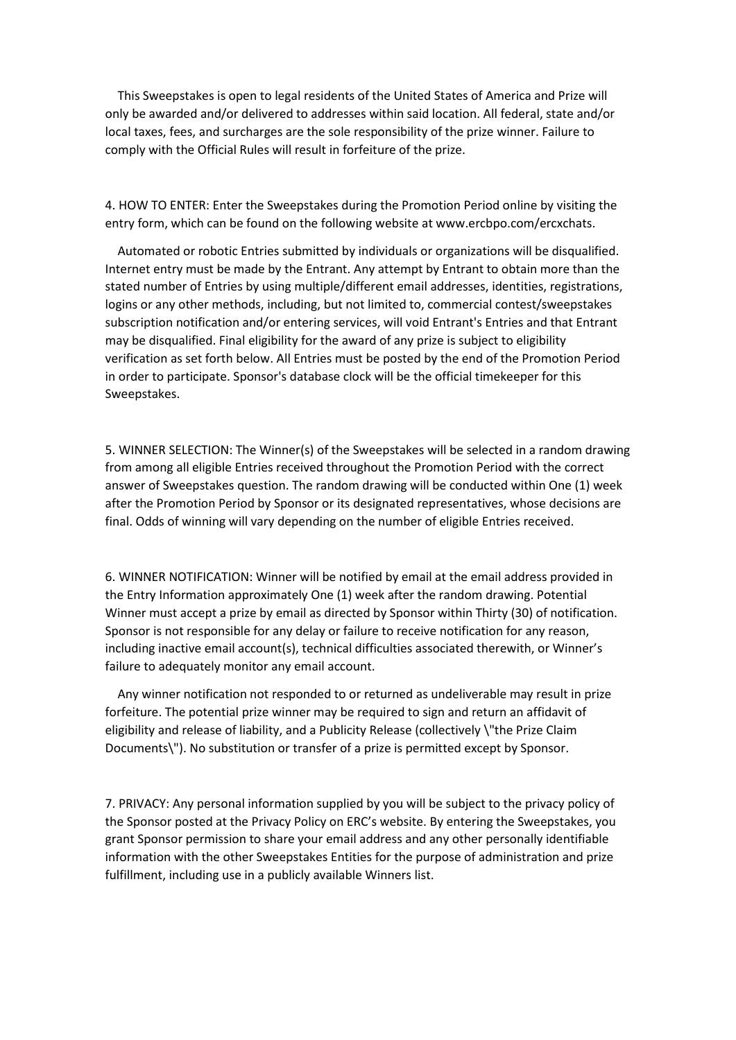This Sweepstakes is open to legal residents of the United States of America and Prize will only be awarded and/or delivered to addresses within said location. All federal, state and/or local taxes, fees, and surcharges are the sole responsibility of the prize winner. Failure to comply with the Official Rules will result in forfeiture of the prize.

4. HOW TO ENTER: Enter the Sweepstakes during the Promotion Period online by visiting the entry form, which can be found on the following website at www.ercbpo.com/ercxchats.

 Automated or robotic Entries submitted by individuals or organizations will be disqualified. Internet entry must be made by the Entrant. Any attempt by Entrant to obtain more than the stated number of Entries by using multiple/different email addresses, identities, registrations, logins or any other methods, including, but not limited to, commercial contest/sweepstakes subscription notification and/or entering services, will void Entrant's Entries and that Entrant may be disqualified. Final eligibility for the award of any prize is subject to eligibility verification as set forth below. All Entries must be posted by the end of the Promotion Period in order to participate. Sponsor's database clock will be the official timekeeper for this Sweepstakes.

5. WINNER SELECTION: The Winner(s) of the Sweepstakes will be selected in a random drawing from among all eligible Entries received throughout the Promotion Period with the correct answer of Sweepstakes question. The random drawing will be conducted within One (1) week after the Promotion Period by Sponsor or its designated representatives, whose decisions are final. Odds of winning will vary depending on the number of eligible Entries received.

6. WINNER NOTIFICATION: Winner will be notified by email at the email address provided in the Entry Information approximately One (1) week after the random drawing. Potential Winner must accept a prize by email as directed by Sponsor within Thirty (30) of notification. Sponsor is not responsible for any delay or failure to receive notification for any reason, including inactive email account(s), technical difficulties associated therewith, or Winner's failure to adequately monitor any email account.

 Any winner notification not responded to or returned as undeliverable may result in prize forfeiture. The potential prize winner may be required to sign and return an affidavit of eligibility and release of liability, and a Publicity Release (collectively \"the Prize Claim Documents\"). No substitution or transfer of a prize is permitted except by Sponsor.

7. PRIVACY: Any personal information supplied by you will be subject to the privacy policy of the Sponsor posted at the Privacy Policy on ERC's website. By entering the Sweepstakes, you grant Sponsor permission to share your email address and any other personally identifiable information with the other Sweepstakes Entities for the purpose of administration and prize fulfillment, including use in a publicly available Winners list.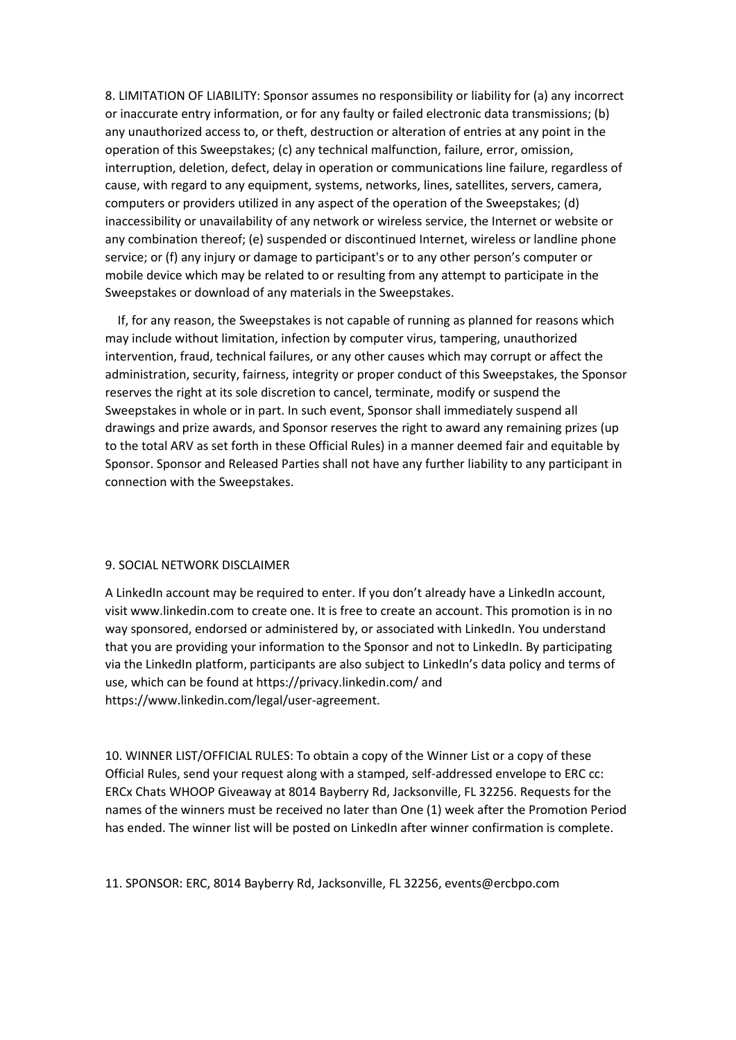8. LIMITATION OF LIABILITY: Sponsor assumes no responsibility or liability for (a) any incorrect or inaccurate entry information, or for any faulty or failed electronic data transmissions; (b) any unauthorized access to, or theft, destruction or alteration of entries at any point in the operation of this Sweepstakes; (c) any technical malfunction, failure, error, omission, interruption, deletion, defect, delay in operation or communications line failure, regardless of cause, with regard to any equipment, systems, networks, lines, satellites, servers, camera, computers or providers utilized in any aspect of the operation of the Sweepstakes; (d) inaccessibility or unavailability of any network or wireless service, the Internet or website or any combination thereof; (e) suspended or discontinued Internet, wireless or landline phone service; or (f) any injury or damage to participant's or to any other person's computer or mobile device which may be related to or resulting from any attempt to participate in the Sweepstakes or download of any materials in the Sweepstakes.

 If, for any reason, the Sweepstakes is not capable of running as planned for reasons which may include without limitation, infection by computer virus, tampering, unauthorized intervention, fraud, technical failures, or any other causes which may corrupt or affect the administration, security, fairness, integrity or proper conduct of this Sweepstakes, the Sponsor reserves the right at its sole discretion to cancel, terminate, modify or suspend the Sweepstakes in whole or in part. In such event, Sponsor shall immediately suspend all drawings and prize awards, and Sponsor reserves the right to award any remaining prizes (up to the total ARV as set forth in these Official Rules) in a manner deemed fair and equitable by Sponsor. Sponsor and Released Parties shall not have any further liability to any participant in connection with the Sweepstakes.

## 9. SOCIAL NETWORK DISCLAIMER

A LinkedIn account may be required to enter. If you don't already have a LinkedIn account, visit www.linkedin.com to create one. It is free to create an account. This promotion is in no way sponsored, endorsed or administered by, or associated with LinkedIn. You understand that you are providing your information to the Sponsor and not to LinkedIn. By participating via the LinkedIn platform, participants are also subject to LinkedIn's data policy and terms of use, which can be found at https://privacy.linkedin.com/ and https://www.linkedin.com/legal/user-agreement.

10. WINNER LIST/OFFICIAL RULES: To obtain a copy of the Winner List or a copy of these Official Rules, send your request along with a stamped, self-addressed envelope to ERC cc: ERCx Chats WHOOP Giveaway at 8014 Bayberry Rd, Jacksonville, FL 32256. Requests for the names of the winners must be received no later than One (1) week after the Promotion Period has ended. The winner list will be posted on LinkedIn after winner confirmation is complete.

## 11. SPONSOR: ERC, 8014 Bayberry Rd, Jacksonville, FL 32256, events@ercbpo.com